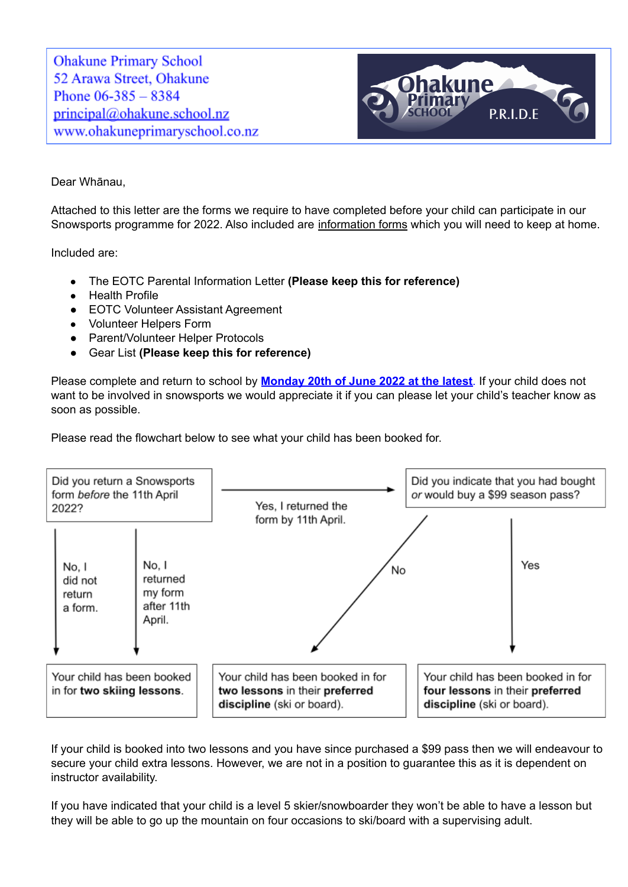**Ohakune Primary School** 52 Arawa Street, Ohakune Phone  $06-385 - 8384$ principal@ohakune.school.nz www.ohakuneprimaryschool.co.nz



### Dear Whānau,

Attached to this letter are the forms we require to have completed before your child can participate in our Snowsports programme for 2022. Also included are information forms which you will need to keep at home.

Included are:

- The EOTC Parental Information Letter **(Please keep this for reference)**
- Health Profile
- EOTC Volunteer Assistant Agreement
- Volunteer Helpers Form
- Parent/Volunteer Helper Protocols
- Gear List **(Please keep this for reference)**

Please complete and return to school by **Monday 20th of June 2022 at the latest**. If your child does not want to be involved in snowsports we would appreciate it if you can please let your child's teacher know as soon as possible.

Please read the flowchart below to see what your child has been booked for.



If your child is booked into two lessons and you have since purchased a \$99 pass then we will endeavour to secure your child extra lessons. However, we are not in a position to guarantee this as it is dependent on instructor availability.

If you have indicated that your child is a level 5 skier/snowboarder they won't be able to have a lesson but they will be able to go up the mountain on four occasions to ski/board with a supervising adult.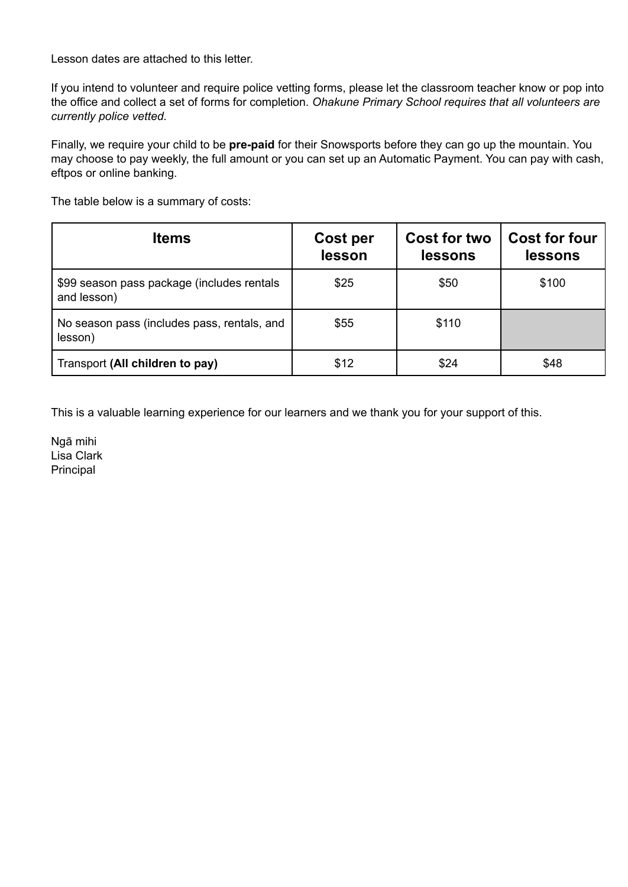Lesson dates are attached to this letter.

If you intend to volunteer and require police vetting forms, please let the classroom teacher know or pop into the office and collect a set of forms for completion. *Ohakune Primary School requires that all volunteers are currently police vetted.*

Finally, we require your child to be **pre-paid** for their Snowsports before they can go up the mountain. You may choose to pay weekly, the full amount or you can set up an Automatic Payment. You can pay with cash, eftpos or online banking.

The table below is a summary of costs:

| <b>Items</b>                                              | Cost per<br>lesson | <b>Cost for two</b><br>lessons | <b>Cost for four</b><br>lessons |
|-----------------------------------------------------------|--------------------|--------------------------------|---------------------------------|
| \$99 season pass package (includes rentals<br>and lesson) | \$25               | \$50                           | \$100                           |
| No season pass (includes pass, rentals, and<br>lesson)    | \$55               | \$110                          |                                 |
| Transport (All children to pay)                           | \$12               | \$24                           | \$48                            |

This is a valuable learning experience for our learners and we thank you for your support of this.

Ngā mihi Lisa Clark Principal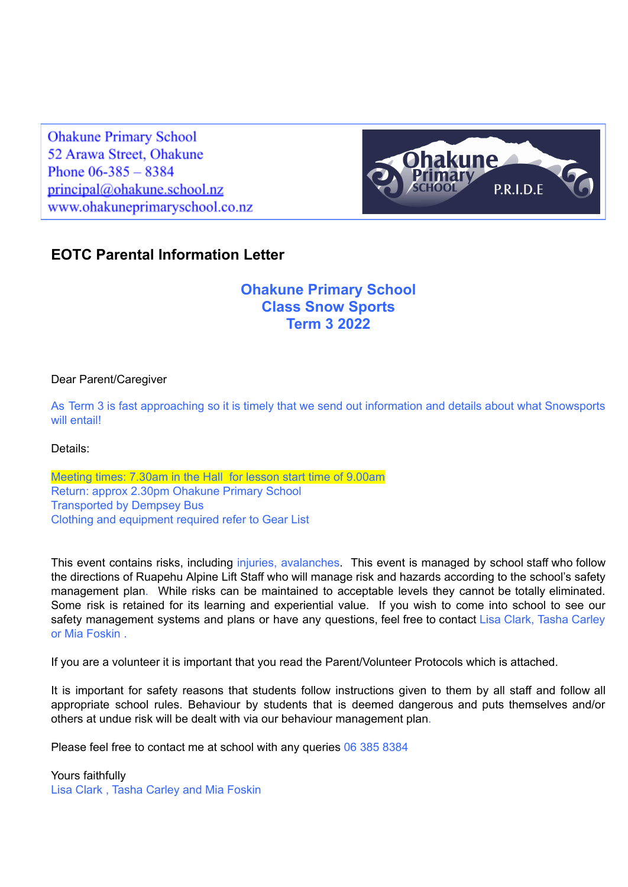**Ohakune Primary School** 52 Arawa Street, Ohakune Phone  $06 - 385 - 8384$ principal@ohakune.school.nz www.ohakuneprimaryschool.co.nz



### **EOTC Parental Information Letter**

### **Ohakune Primary School Class Snow Sports Term 3 2022**

#### Dear Parent/Caregiver

As Term 3 is fast approaching so it is timely that we send out information and details about what Snowsports will entail!

Details:

Meeting times: 7.30am in the Hall for lesson start time of 9.00am Return: approx 2.30pm Ohakune Primary School Transported by Dempsey Bus Clothing and equipment required refer to Gear List

This event contains risks, including injuries, avalanches. This event is managed by school staff who follow the directions of Ruapehu Alpine Lift Staff who will manage risk and hazards according to the school's safety management plan. While risks can be maintained to acceptable levels they cannot be totally eliminated. Some risk is retained for its learning and experiential value. If you wish to come into school to see our safety management systems and plans or have any questions, feel free to contact Lisa Clark, Tasha Carley or Mia Foskin .

If you are a volunteer it is important that you read the Parent/Volunteer Protocols which is attached.

It is important for safety reasons that students follow instructions given to them by all staff and follow all appropriate school rules. Behaviour by students that is deemed dangerous and puts themselves and/or others at undue risk will be dealt with via our behaviour management plan.

Please feel free to contact me at school with any queries 06 385 8384

Yours faithfully Lisa Clark , Tasha Carley and Mia Foskin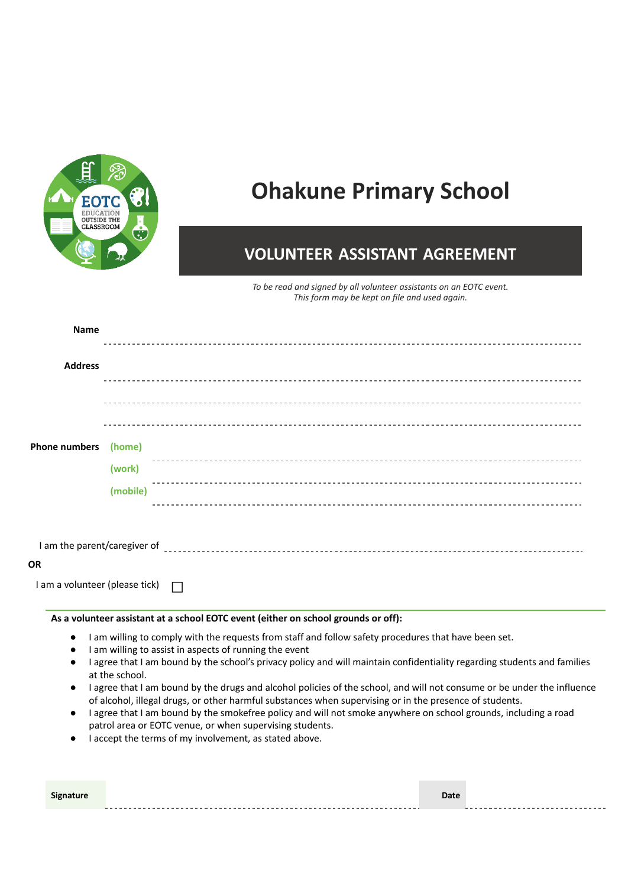

# **Ohakune Primary School**

### **VOLUNTEER ASSISTANT AGREEMENT**

*To be read and signed by all volunteer assistants on an EOTC event. This form may be kept on file and used again.*

| <b>Name</b>                                                                                                       |                                                                                    |  |  |
|-------------------------------------------------------------------------------------------------------------------|------------------------------------------------------------------------------------|--|--|
|                                                                                                                   |                                                                                    |  |  |
| <b>Address</b>                                                                                                    |                                                                                    |  |  |
|                                                                                                                   |                                                                                    |  |  |
|                                                                                                                   |                                                                                    |  |  |
|                                                                                                                   |                                                                                    |  |  |
| <b>Phone numbers</b>                                                                                              | (home)                                                                             |  |  |
|                                                                                                                   | (work)                                                                             |  |  |
|                                                                                                                   | (mobile)                                                                           |  |  |
|                                                                                                                   |                                                                                    |  |  |
|                                                                                                                   |                                                                                    |  |  |
|                                                                                                                   |                                                                                    |  |  |
| OR                                                                                                                |                                                                                    |  |  |
| I am a volunteer (please tick)                                                                                    | $\Box$                                                                             |  |  |
|                                                                                                                   | As a volunteer assistant at a school EOTC event (either on school grounds or off): |  |  |
| I am willing to comply with the requests from staff and follow safety procedures that have been set.<br>$\bullet$ |                                                                                    |  |  |

- I am willing to assist in aspects of running the event
- I agree that I am bound by the school's privacy policy and will maintain confidentiality regarding students and families at the school.
- I agree that I am bound by the drugs and alcohol policies of the school, and will not consume or be under the influence of alcohol, illegal drugs, or other harmful substances when supervising or in the presence of students.
- I agree that I am bound by the smokefree policy and will not smoke anywhere on school grounds, including a road patrol area or EOTC venue, or when supervising students.
- **●** I accept the terms of my involvement, as stated above.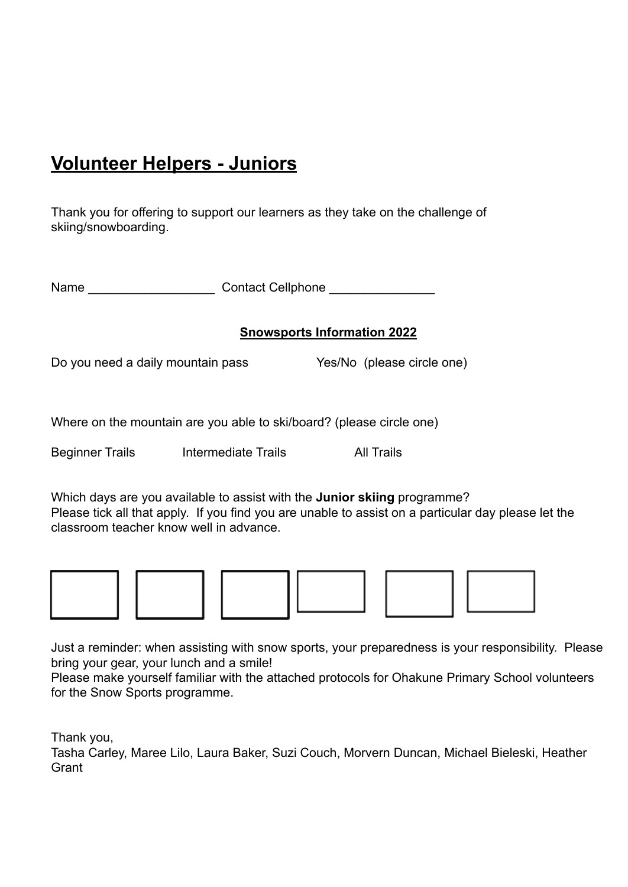# **Volunteer Helpers - Juniors**

Thank you for offering to support our learners as they take on the challenge of skiing/snowboarding.

| Name | <b>Contact Cellphone</b> |
|------|--------------------------|
|      |                          |

### **Snowsports Information 2022**

Do you need a daily mountain pass Yes/No (please circle one)

Where on the mountain are you able to ski/board? (please circle one)

Beginner Trails Intermediate Trails All Trails

Which days are you available to assist with the **Junior skiing** programme? Please tick all that apply. If you find you are unable to assist on a particular day please let the classroom teacher know well in advance.









Just a reminder: when assisting with snow sports, your preparedness is your responsibility. Please bring your gear, your lunch and a smile!

Please make yourself familiar with the attached protocols for Ohakune Primary School volunteers for the Snow Sports programme.

Thank you,

Tasha Carley, Maree Lilo, Laura Baker, Suzi Couch, Morvern Duncan, Michael Bieleski, Heather **Grant**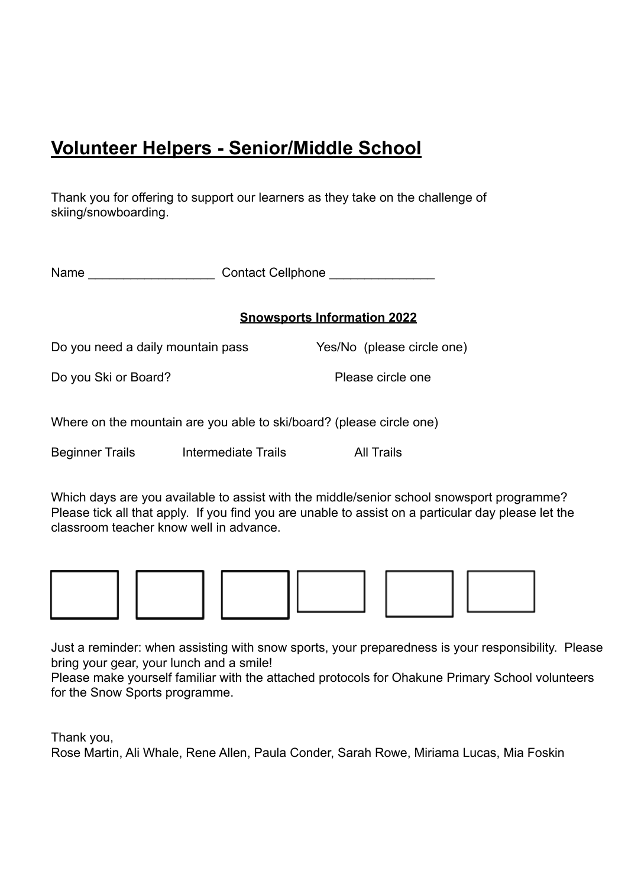# **Volunteer Helpers - Senior/Middle School**

Thank you for offering to support our learners as they take on the challenge of skiing/snowboarding.

Name **Name Name Contact Cellphone Name** 

### **Snowsports Information 2022**

Do you need a daily mountain pass Yes/No (please circle one)

Do you Ski or Board? Please circle one

Where on the mountain are you able to ski/board? (please circle one)

Beginner Trails Intermediate Trails All Trails

Which days are you available to assist with the middle/senior school snowsport programme? Please tick all that apply. If you find you are unable to assist on a particular day please let the classroom teacher know well in advance.



Just a reminder: when assisting with snow sports, your preparedness is your responsibility. Please bring your gear, your lunch and a smile!

Please make yourself familiar with the attached protocols for Ohakune Primary School volunteers for the Snow Sports programme.

Thank you,

Rose Martin, Ali Whale, Rene Allen, Paula Conder, Sarah Rowe, Miriama Lucas, Mia Foskin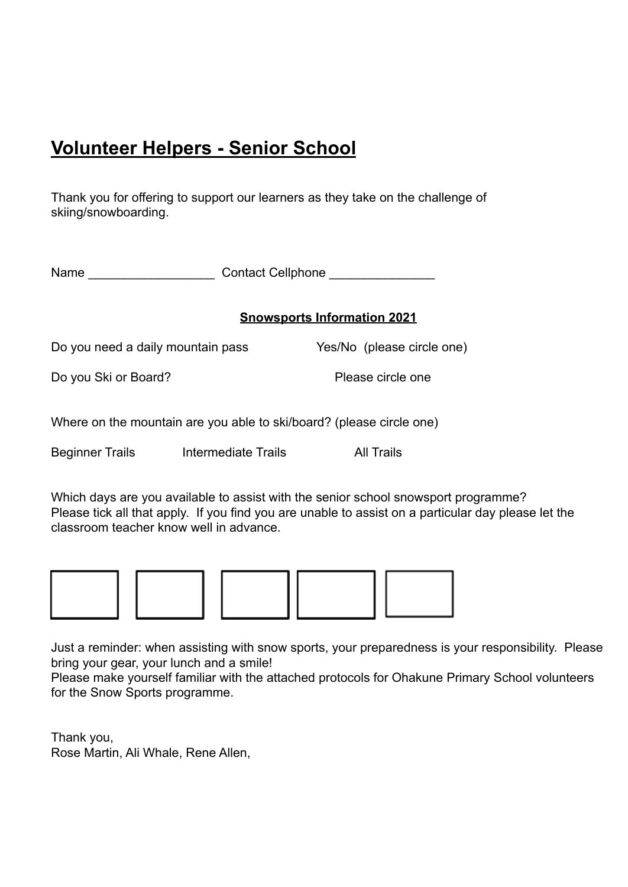# **Volunteer Helpers - Senior School**

Thank you for offering to support our learners as they take on the challenge of skiing/snowboarding.

Name **Name Name Contact Cellphone Name** 

### **Snowsports Information 2021**

Do you need a daily mountain pass Yes/No (please circle one)

Do you Ski or Board? Please circle one

Where on the mountain are you able to ski/board? (please circle one)

Beginner Trails Intermediate Trails All Trails

Which days are you available to assist with the senior school snowsport programme? Please tick all that apply. If you find you are unable to assist on a particular day please let the classroom teacher know well in advance.



Just a reminder: when assisting with snow sports, your preparedness is your responsibility. Please bring your gear, your lunch and a smile!

Please make yourself familiar with the attached protocols for Ohakune Primary School volunteers for the Snow Sports programme.

Thank you, Rose Martin, Ali Whale, Rene Allen,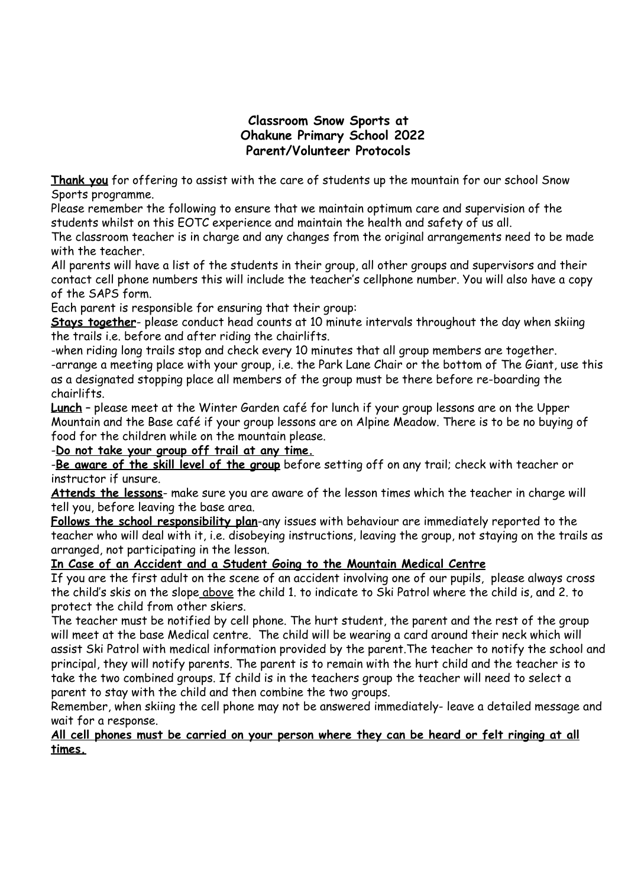### **Classroom Snow Sports at Ohakune Primary School 2022 Parent/Volunteer Protocols**

**Thank you** for offering to assist with the care of students up the mountain for our school Snow Sports programme.

Please remember the following to ensure that we maintain optimum care and supervision of the students whilst on this EOTC experience and maintain the health and safety of us all.

The classroom teacher is in charge and any changes from the original arrangements need to be made with the teacher.

All parents will have a list of the students in their group, all other groups and supervisors and their contact cell phone numbers this will include the teacher's cellphone number. You will also have a copy of the SAPS form.

Each parent is responsible for ensuring that their group:

**Stays together**- please conduct head counts at 10 minute intervals throughout the day when skiing the trails i.e. before and after riding the chairlifts.

-when riding long trails stop and check every 10 minutes that all group members are together. -arrange a meeting place with your group, i.e. the Park Lane Chair or the bottom of The Giant, use this as a designated stopping place all members of the group must be there before re-boarding the chairlifts.

**Lunch** – please meet at the Winter Garden café for lunch if your group lessons are on the Upper Mountain and the Base café if your group lessons are on Alpine Meadow. There is to be no buying of food for the children while on the mountain please.

-**Do not take your group off trail at any time.**

-**Be aware of the skill level of the group** before setting off on any trail; check with teacher or instructor if unsure.

**Attends the lessons**- make sure you are aware of the lesson times which the teacher in charge will tell you, before leaving the base area.

**Follows the school responsibility plan**-any issues with behaviour are immediately reported to the teacher who will deal with it, i.e. disobeying instructions, leaving the group, not staying on the trails as arranged, not participating in the lesson.

### **In Case of an Accident and a Student Going to the Mountain Medical Centre**

If you are the first adult on the scene of an accident involving one of our pupils, please always cross the child's skis on the slope above the child 1. to indicate to Ski Patrol where the child is, and 2. to protect the child from other skiers.

The teacher must be notified by cell phone. The hurt student, the parent and the rest of the group will meet at the base Medical centre. The child will be wearing a card around their neck which will assist Ski Patrol with medical information provided by the parent.The teacher to notify the school and principal, they will notify parents. The parent is to remain with the hurt child and the teacher is to take the two combined groups. If child is in the teachers group the teacher will need to select a parent to stay with the child and then combine the two groups.

Remember, when skiing the cell phone may not be answered immediately- leave a detailed message and wait for a response.

#### All cell phones must be carried on your person where they can be heard or felt ringing at all **times.**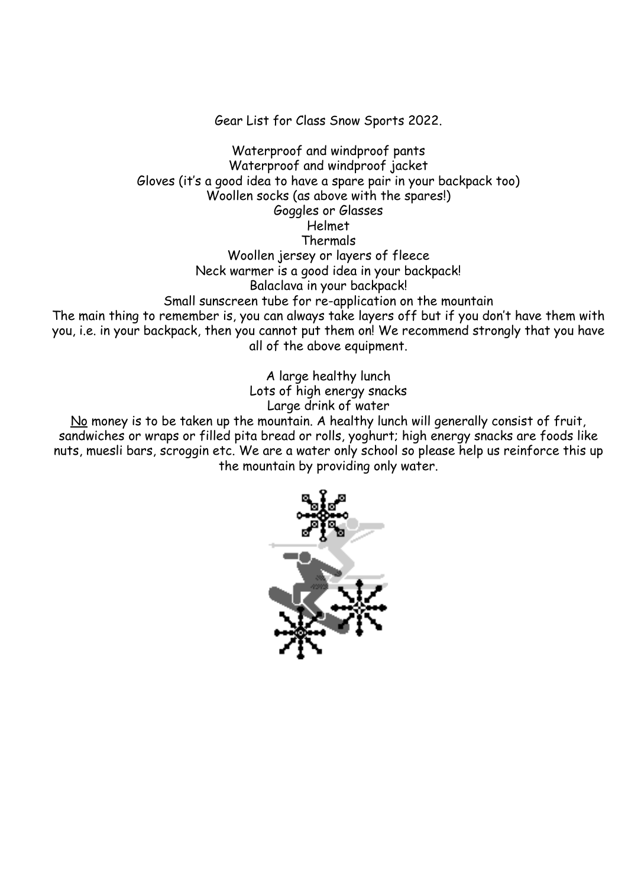Gear List for Class Snow Sports 2022.

Waterproof and windproof pants Waterproof and windproof jacket Gloves (it's a good idea to have a spare pair in your backpack too) Woollen socks (as above with the spares!) Goggles or Glasses Helmet Thermals Woollen jersey or layers of fleece Neck warmer is a good idea in your backpack! Balaclava in your backpack! Small sunscreen tube for re-application on the mountain The main thing to remember is, you can always take layers off but if you don't have them with you, i.e. in your backpack, then you cannot put them on! We recommend strongly that you have all of the above equipment.

> A large healthy lunch Lots of high energy snacks Large drink of water

No money is to be taken up the mountain. A healthy lunch will generally consist of fruit, sandwiches or wraps or filled pita bread or rolls, yoghurt; high energy snacks are foods like nuts, muesli bars, scroggin etc. We are a water only school so please help us reinforce this up the mountain by providing only water.